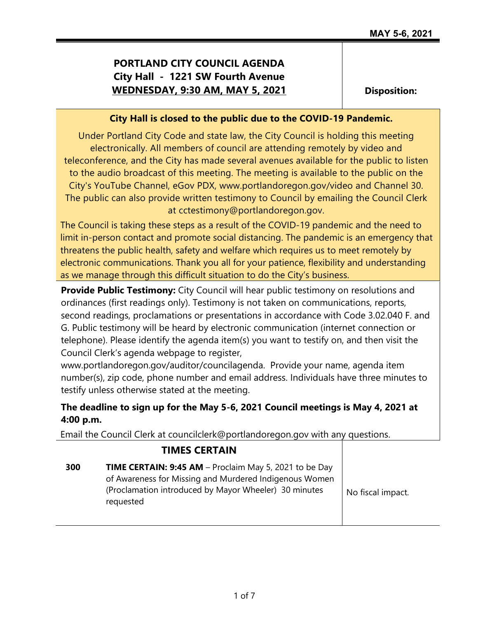# **PORTLAND CITY COUNCIL AGENDA City Hall - 1221 SW Fourth Avenue WEDNESDAY, 9:30 AM, MAY 5, 2021**

**Disposition:**

#### **City Hall is closed to the public due to the COVID-19 Pandemic.**

Under Portland City Code and state law, the City Council is holding this meeting electronically. All members of council are attending remotely by video and teleconference, and the City has made several avenues available for the public to listen to the audio broadcast of this meeting. The meeting is available to the public on the City's YouTube Channel, eGov PDX, www.portlandoregon.gov/video and Channel 30. The public can also provide written testimony to Council by emailing the Council Clerk at cctestimony@portlandoregon.gov.

The Council is taking these steps as a result of the COVID-19 pandemic and the need to limit in-person contact and promote social distancing. The pandemic is an emergency that threatens the public health, safety and welfare which requires us to meet remotely by electronic communications. Thank you all for your patience, flexibility and understanding as we manage through this difficult situation to do the City's business.

**Provide Public Testimony:** City Council will hear public testimony on resolutions and ordinances (first readings only). Testimony is not taken on communications, reports, second readings, proclamations or presentations in accordance with Code 3.02.040 F. and G. Public testimony will be heard by electronic communication (internet connection or telephone). Please identify the agenda item(s) you want to testify on, and then visit the Council Clerk's agenda webpage to register,

www.portlandoregon.gov/auditor/councilagenda. Provide your name, agenda item number(s), zip code, phone number and email address. Individuals have three minutes to testify unless otherwise stated at the meeting.

## **The deadline to sign up for the May 5-6, 2021 Council meetings is May 4, 2021 at 4:00 p.m.**

Email the Council Clerk at councilclerk@portlandoregon.gov with any questions.

# **TIMES CERTAIN 300 TIME CERTAIN: 9:45 AM** – Proclaim May 5, 2021 to be Day of Awareness for Missing and Murdered Indigenous Women (Proclamation introduced by Mayor Wheeler) 30 minutes requested No fiscal impact.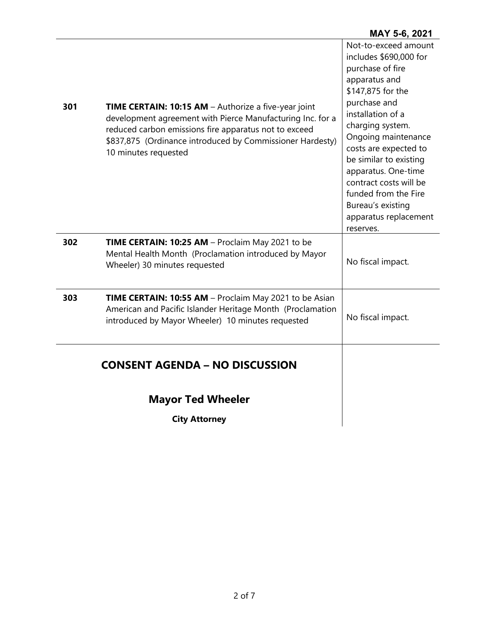|     | <b>Mayor Ted Wheeler</b><br><b>City Attorney</b>                                                                                                                                                                                                                        |                                                                                                                                                                                                                                                                                                                                                                                 |
|-----|-------------------------------------------------------------------------------------------------------------------------------------------------------------------------------------------------------------------------------------------------------------------------|---------------------------------------------------------------------------------------------------------------------------------------------------------------------------------------------------------------------------------------------------------------------------------------------------------------------------------------------------------------------------------|
|     | <b>CONSENT AGENDA - NO DISCUSSION</b>                                                                                                                                                                                                                                   |                                                                                                                                                                                                                                                                                                                                                                                 |
| 303 | TIME CERTAIN: 10:55 AM - Proclaim May 2021 to be Asian<br>American and Pacific Islander Heritage Month (Proclamation<br>introduced by Mayor Wheeler) 10 minutes requested                                                                                               | No fiscal impact.                                                                                                                                                                                                                                                                                                                                                               |
| 302 | TIME CERTAIN: 10:25 AM - Proclaim May 2021 to be<br>Mental Health Month (Proclamation introduced by Mayor<br>Wheeler) 30 minutes requested                                                                                                                              | No fiscal impact.                                                                                                                                                                                                                                                                                                                                                               |
| 301 | <b>TIME CERTAIN: 10:15 AM</b> - Authorize a five-year joint<br>development agreement with Pierce Manufacturing Inc. for a<br>reduced carbon emissions fire apparatus not to exceed<br>\$837,875 (Ordinance introduced by Commissioner Hardesty)<br>10 minutes requested | Not-to-exceed amount<br>includes \$690,000 for<br>purchase of fire<br>apparatus and<br>\$147,875 for the<br>purchase and<br>installation of a<br>charging system.<br>Ongoing maintenance<br>costs are expected to<br>be similar to existing<br>apparatus. One-time<br>contract costs will be<br>funded from the Fire<br>Bureau's existing<br>apparatus replacement<br>reserves. |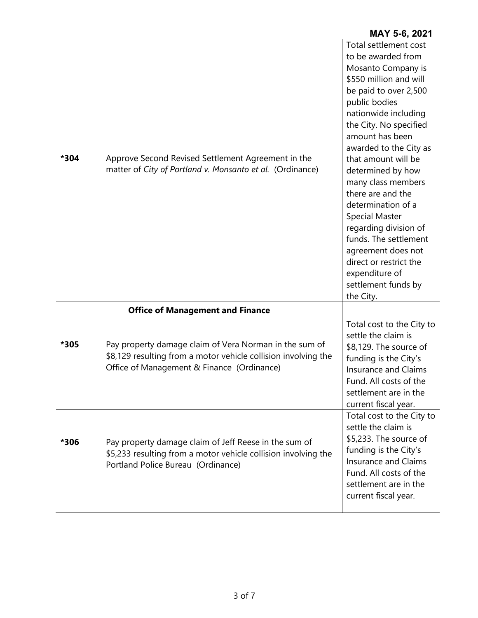|      |                                                                                                                                                                        | MAY 5-6, 2021                                                                                                                                                                                                                                                                                                                                                                                                                                                                                                                      |
|------|------------------------------------------------------------------------------------------------------------------------------------------------------------------------|------------------------------------------------------------------------------------------------------------------------------------------------------------------------------------------------------------------------------------------------------------------------------------------------------------------------------------------------------------------------------------------------------------------------------------------------------------------------------------------------------------------------------------|
| *304 | Approve Second Revised Settlement Agreement in the<br>matter of City of Portland v. Monsanto et al. (Ordinance)                                                        | Total settlement cost<br>to be awarded from<br>Mosanto Company is<br>\$550 million and will<br>be paid to over 2,500<br>public bodies<br>nationwide including<br>the City. No specified<br>amount has been<br>awarded to the City as<br>that amount will be<br>determined by how<br>many class members<br>there are and the<br>determination of a<br><b>Special Master</b><br>regarding division of<br>funds. The settlement<br>agreement does not<br>direct or restrict the<br>expenditure of<br>settlement funds by<br>the City. |
|      | <b>Office of Management and Finance</b>                                                                                                                                |                                                                                                                                                                                                                                                                                                                                                                                                                                                                                                                                    |
| *305 | Pay property damage claim of Vera Norman in the sum of<br>\$8,129 resulting from a motor vehicle collision involving the<br>Office of Management & Finance (Ordinance) | Total cost to the City to<br>settle the claim is<br>\$8,129. The source of<br>funding is the City's<br>Insurance and Claims<br>Fund. All costs of the<br>settlement are in the<br>current fiscal year.                                                                                                                                                                                                                                                                                                                             |
| *306 | Pay property damage claim of Jeff Reese in the sum of<br>\$5,233 resulting from a motor vehicle collision involving the<br>Portland Police Bureau (Ordinance)          | Total cost to the City to<br>settle the claim is<br>\$5,233. The source of<br>funding is the City's<br><b>Insurance and Claims</b><br>Fund. All costs of the<br>settlement are in the<br>current fiscal year.                                                                                                                                                                                                                                                                                                                      |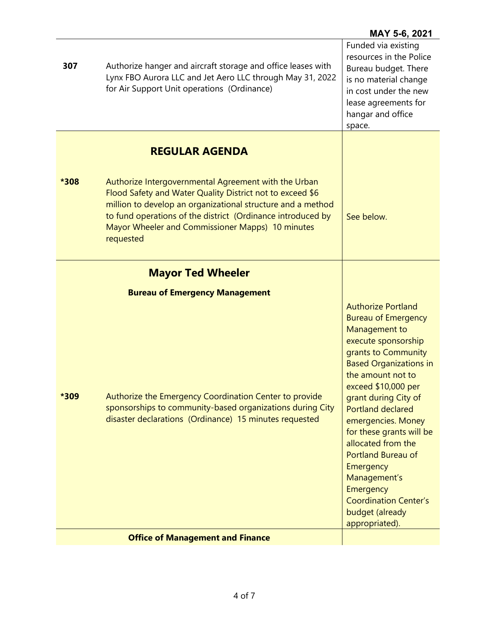| 307  | Authorize hanger and aircraft storage and office leases with<br>Lynx FBO Aurora LLC and Jet Aero LLC through May 31, 2022<br>for Air Support Unit operations (Ordinance)                                                                                                                                                                  | Funded via existing<br>resources in the Police<br>Bureau budget. There<br>is no material change<br>in cost under the new<br>lease agreements for<br>hangar and office<br>space.                                                                                                                                                                                                                                                                                              |
|------|-------------------------------------------------------------------------------------------------------------------------------------------------------------------------------------------------------------------------------------------------------------------------------------------------------------------------------------------|------------------------------------------------------------------------------------------------------------------------------------------------------------------------------------------------------------------------------------------------------------------------------------------------------------------------------------------------------------------------------------------------------------------------------------------------------------------------------|
| *308 | <b>REGULAR AGENDA</b><br>Authorize Intergovernmental Agreement with the Urban<br>Flood Safety and Water Quality District not to exceed \$6<br>million to develop an organizational structure and a method<br>to fund operations of the district (Ordinance introduced by<br>Mayor Wheeler and Commissioner Mapps) 10 minutes<br>requested | See below.                                                                                                                                                                                                                                                                                                                                                                                                                                                                   |
| *309 | <b>Mayor Ted Wheeler</b><br><b>Bureau of Emergency Management</b><br>Authorize the Emergency Coordination Center to provide<br>sponsorships to community-based organizations during City<br>disaster declarations (Ordinance) 15 minutes requested                                                                                        | <b>Authorize Portland</b><br><b>Bureau of Emergency</b><br>Management to<br>execute sponsorship<br>grants to Community<br><b>Based Organizations in</b><br>the amount not to<br>$exceed $10,000$ per<br>grant during City of<br><b>Portland declared</b><br>emergencies. Money<br>for these grants will be<br>allocated from the<br><b>Portland Bureau of</b><br>Emergency<br>Management's<br>Emergency<br><b>Coordination Center's</b><br>budget (already<br>appropriated). |
|      | <b>Office of Management and Finance</b>                                                                                                                                                                                                                                                                                                   |                                                                                                                                                                                                                                                                                                                                                                                                                                                                              |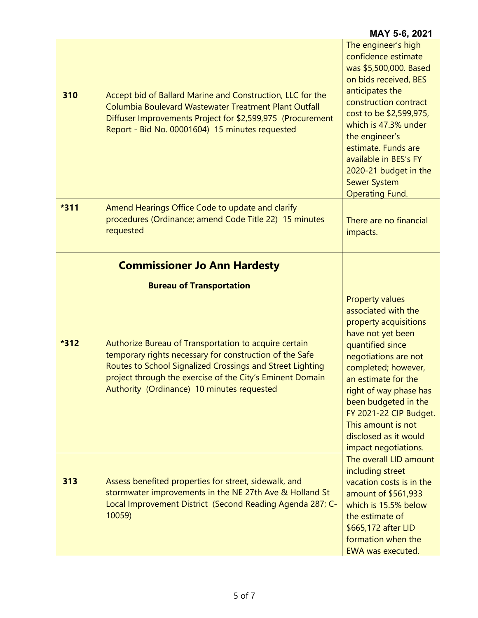|        |                                                                                                                                                                                                                                                                                                                                                                    | MAY 5-6, 2021                                                                                                                                                                                                                                                                                                                            |
|--------|--------------------------------------------------------------------------------------------------------------------------------------------------------------------------------------------------------------------------------------------------------------------------------------------------------------------------------------------------------------------|------------------------------------------------------------------------------------------------------------------------------------------------------------------------------------------------------------------------------------------------------------------------------------------------------------------------------------------|
| 310    | Accept bid of Ballard Marine and Construction, LLC for the<br>Columbia Boulevard Wastewater Treatment Plant Outfall<br>Diffuser Improvements Project for \$2,599,975 (Procurement<br>Report - Bid No. 00001604) 15 minutes requested                                                                                                                               | The engineer's high<br>confidence estimate<br>was \$5,500,000. Based<br>on bids received, BES<br>anticipates the<br>construction contract<br>cost to be \$2,599,975,<br>which is 47.3% under<br>the engineer's<br>estimate. Funds are<br>available in BES's FY<br>2020-21 budget in the<br><b>Sewer System</b><br><b>Operating Fund.</b> |
| *311   | Amend Hearings Office Code to update and clarify<br>procedures (Ordinance; amend Code Title 22) 15 minutes<br>requested                                                                                                                                                                                                                                            | There are no financial<br>impacts.                                                                                                                                                                                                                                                                                                       |
| $*312$ | <b>Commissioner Jo Ann Hardesty</b><br><b>Bureau of Transportation</b><br>Authorize Bureau of Transportation to acquire certain<br>temporary rights necessary for construction of the Safe<br>Routes to School Signalized Crossings and Street Lighting<br>project through the exercise of the City's Eminent Domain<br>Authority (Ordinance) 10 minutes requested | <b>Property values</b><br>associated with the<br>property acquisitions<br>have not yet been<br>quantified since<br>negotiations are not<br>completed; however,<br>an estimate for the<br>right of way phase has<br>been budgeted in the<br>FY 2021-22 CIP Budget.<br>This amount is not<br>disclosed as it would<br>impact negotiations. |
| 313    | Assess benefited properties for street, sidewalk, and<br>stormwater improvements in the NE 27th Ave & Holland St<br>Local Improvement District (Second Reading Agenda 287; C-<br>10059)                                                                                                                                                                            | The overall LID amount<br>including street<br>vacation costs is in the<br>amount of \$561,933<br>which is 15.5% below<br>the estimate of<br>\$665,172 after LID<br>formation when the<br><b>EWA was executed.</b>                                                                                                                        |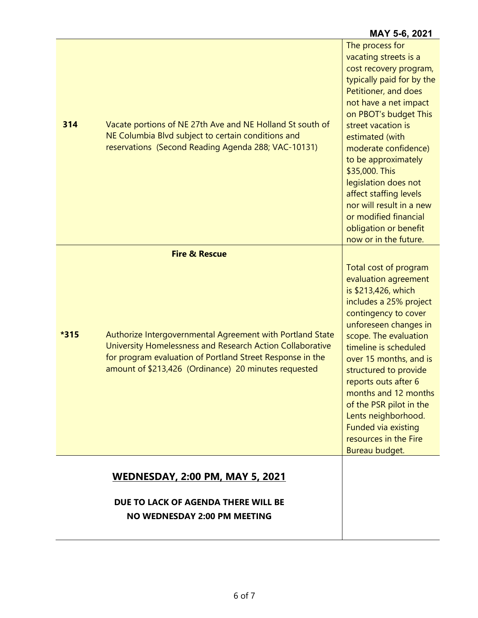### **MAY 5-6, 2021**

| 314  | Vacate portions of NE 27th Ave and NE Holland St south of<br>NE Columbia Blvd subject to certain conditions and<br>reservations (Second Reading Agenda 288; VAC-10131)                                                                                                  | vacating streets is a<br>cost recovery program,<br>typically paid for by the<br>Petitioner, and does<br>not have a net impact<br>on PBOT's budget This<br>street vacation is<br>estimated (with<br>moderate confidence)<br>to be approximately<br>\$35,000. This<br>legislation does not<br>affect staffing levels<br>nor will result in a new<br>or modified financial<br>obligation or benefit<br>now or in the future. |
|------|-------------------------------------------------------------------------------------------------------------------------------------------------------------------------------------------------------------------------------------------------------------------------|---------------------------------------------------------------------------------------------------------------------------------------------------------------------------------------------------------------------------------------------------------------------------------------------------------------------------------------------------------------------------------------------------------------------------|
| *315 | <b>Fire &amp; Rescue</b><br>Authorize Intergovernmental Agreement with Portland State<br>University Homelessness and Research Action Collaborative<br>for program evaluation of Portland Street Response in the<br>amount of \$213,426 (Ordinance) 20 minutes requested | Total cost of program<br>evaluation agreement<br>is \$213,426, which<br>includes a 25% project<br>contingency to cover<br>unforeseen changes in<br>scope. The evaluation<br>timeline is scheduled<br>over 15 months, and is<br>structured to provide<br>reports outs after 6<br>months and 12 months<br>of the PSR pilot in the<br>Lents neighborhood.<br>Funded via existing<br>resources in the Fire<br>Bureau budget.  |
|      | <b>WEDNESDAY, 2:00 PM, MAY 5, 2021</b><br>DUE TO LACK OF AGENDA THERE WILL BE<br>NO WEDNESDAY 2:00 PM MEETING                                                                                                                                                           |                                                                                                                                                                                                                                                                                                                                                                                                                           |